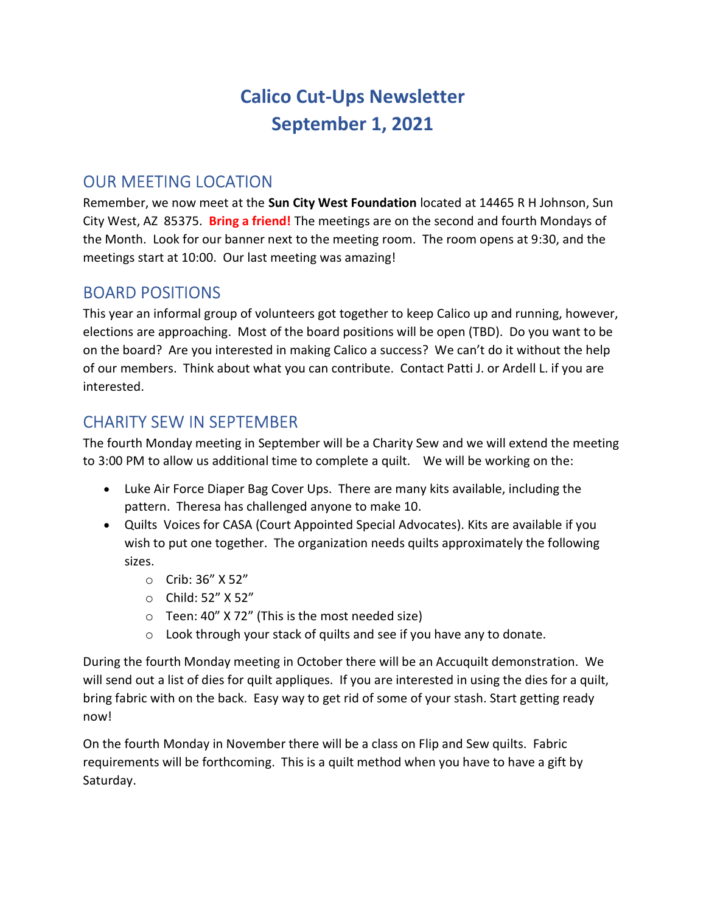# Calico Cut-Ups Newsletter September 1, 2021

### OUR MEETING LOCATION

Remember, we now meet at the Sun City West Foundation located at 14465 R H Johnson, Sun City West, AZ 85375. Bring a friend! The meetings are on the second and fourth Mondays of the Month. Look for our banner next to the meeting room. The room opens at 9:30, and the meetings start at 10:00. Our last meeting was amazing!

#### BOARD POSITIONS

This year an informal group of volunteers got together to keep Calico up and running, however, elections are approaching. Most of the board positions will be open (TBD). Do you want to be on the board? Are you interested in making Calico a success? We can't do it without the help of our members. Think about what you can contribute. Contact Patti J. or Ardell L. if you are interested.

#### CHARITY SEW IN SEPTEMBER

The fourth Monday meeting in September will be a Charity Sew and we will extend the meeting to 3:00 PM to allow us additional time to complete a quilt. We will be working on the:

- Luke Air Force Diaper Bag Cover Ups. There are many kits available, including the pattern. Theresa has challenged anyone to make 10.
- Quilts Voices for CASA (Court Appointed Special Advocates). Kits are available if you wish to put one together. The organization needs quilts approximately the following sizes.
	- o Crib: 36" X 52"
	- o Child: 52" X 52"
	- o Teen: 40" X 72" (This is the most needed size)
	- o Look through your stack of quilts and see if you have any to donate.

During the fourth Monday meeting in October there will be an Accuquilt demonstration. We will send out a list of dies for quilt appliques. If you are interested in using the dies for a quilt, bring fabric with on the back. Easy way to get rid of some of your stash. Start getting ready now!

On the fourth Monday in November there will be a class on Flip and Sew quilts. Fabric requirements will be forthcoming. This is a quilt method when you have to have a gift by Saturday.